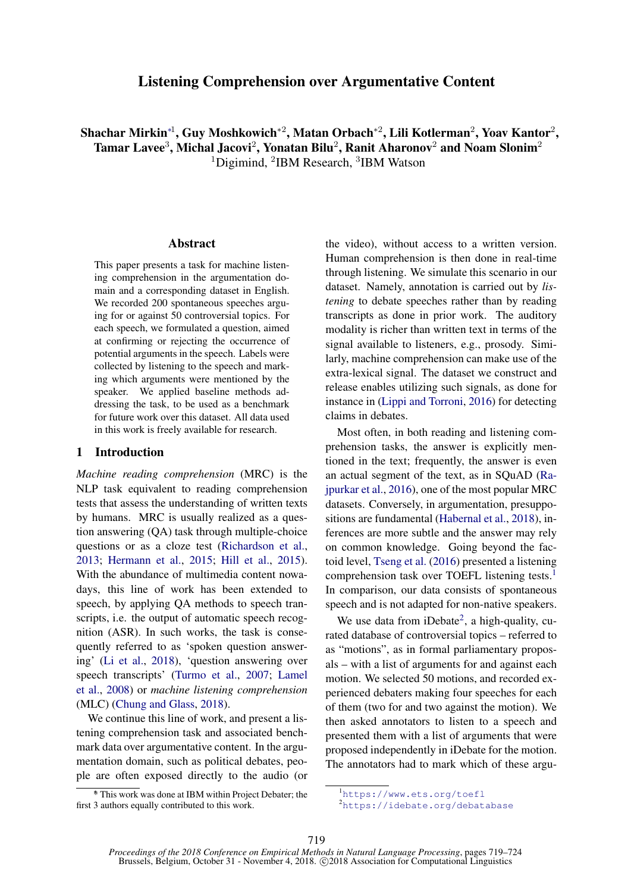# Listening Comprehension over Argumentative Content

Shachar Mirkin\*<sup>1</sup>, Guy Moshkowich\*<sup>2</sup>, Matan Orbach\*<sup>2</sup>, Lili Kotlerman<sup>2</sup>, Yoav Kantor<sup>2</sup>, Tamar Lavee $^3$ , Michal Jacovi $^2$ , Yonatan Bilu $^2$ , Ranit Aharonov $^2$  and Noam Slonim $^2$ <sup>1</sup>Digimind, <sup>2</sup>IBM Research, <sup>3</sup>IBM Watson

#### Abstract

This paper presents a task for machine listening comprehension in the argumentation domain and a corresponding dataset in English. We recorded 200 spontaneous speeches arguing for or against 50 controversial topics. For each speech, we formulated a question, aimed at confirming or rejecting the occurrence of potential arguments in the speech. Labels were collected by listening to the speech and marking which arguments were mentioned by the speaker. We applied baseline methods addressing the task, to be used as a benchmark for future work over this dataset. All data used in this work is freely available for research.

#### 1 Introduction

*Machine reading comprehension* (MRC) is the NLP task equivalent to reading comprehension tests that assess the understanding of written texts by humans. MRC is usually realized as a question answering (QA) task through multiple-choice questions or as a cloze test [\(Richardson et al.,](#page-5-0) [2013;](#page-5-0) [Hermann et al.,](#page-5-1) [2015;](#page-5-1) [Hill et al.,](#page-5-2) [2015\)](#page-5-2). With the abundance of multimedia content nowadays, this line of work has been extended to speech, by applying QA methods to speech transcripts, i.e. the output of automatic speech recognition (ASR). In such works, the task is consequently referred to as 'spoken question answering' [\(Li et al.,](#page-5-3) [2018\)](#page-5-3), 'question answering over speech transcripts' [\(Turmo et al.,](#page-5-4) [2007;](#page-5-4) [Lamel](#page-5-5) [et al.,](#page-5-5) [2008\)](#page-5-5) or *machine listening comprehension* (MLC) [\(Chung and Glass,](#page-4-0) [2018\)](#page-4-0).

We continue this line of work, and present a listening comprehension task and associated benchmark data over argumentative content. In the argumentation domain, such as political debates, people are often exposed directly to the audio (or

∗ \* This work was done at IBM within Project Debater; the first 3 authors equally contributed to this work.

the video), without access to a written version. Human comprehension is then done in real-time through listening. We simulate this scenario in our dataset. Namely, annotation is carried out by *listening* to debate speeches rather than by reading transcripts as done in prior work. The auditory modality is richer than written text in terms of the signal available to listeners, e.g., prosody. Similarly, machine comprehension can make use of the extra-lexical signal. The dataset we construct and release enables utilizing such signals, as done for instance in [\(Lippi and Torroni,](#page-5-6) [2016\)](#page-5-6) for detecting claims in debates.

Most often, in both reading and listening comprehension tasks, the answer is explicitly mentioned in the text; frequently, the answer is even an actual segment of the text, as in SQuAD [\(Ra](#page-5-7)[jpurkar et al.,](#page-5-7) [2016\)](#page-5-7), one of the most popular MRC datasets. Conversely, in argumentation, presuppositions are fundamental [\(Habernal et al.,](#page-5-8) [2018\)](#page-5-8), inferences are more subtle and the answer may rely on common knowledge. Going beyond the factoid level, [Tseng et al.](#page-5-9) [\(2016\)](#page-5-9) presented a listening comprehension task over TOEFL listening tests.[1](#page-0-0) In comparison, our data consists of spontaneous speech and is not adapted for non-native speakers.

We use data from  $iDebate<sup>2</sup>$  $iDebate<sup>2</sup>$  $iDebate<sup>2</sup>$ , a high-quality, curated database of controversial topics – referred to as "motions", as in formal parliamentary proposals – with a list of arguments for and against each motion. We selected 50 motions, and recorded experienced debaters making four speeches for each of them (two for and two against the motion). We then asked annotators to listen to a speech and presented them with a list of arguments that were proposed independently in iDebate for the motion. The annotators had to mark which of these argu-

<span id="page-0-1"></span><span id="page-0-0"></span><sup>1</sup><https://www.ets.org/toefl> <sup>2</sup><https://idebate.org/debatabase>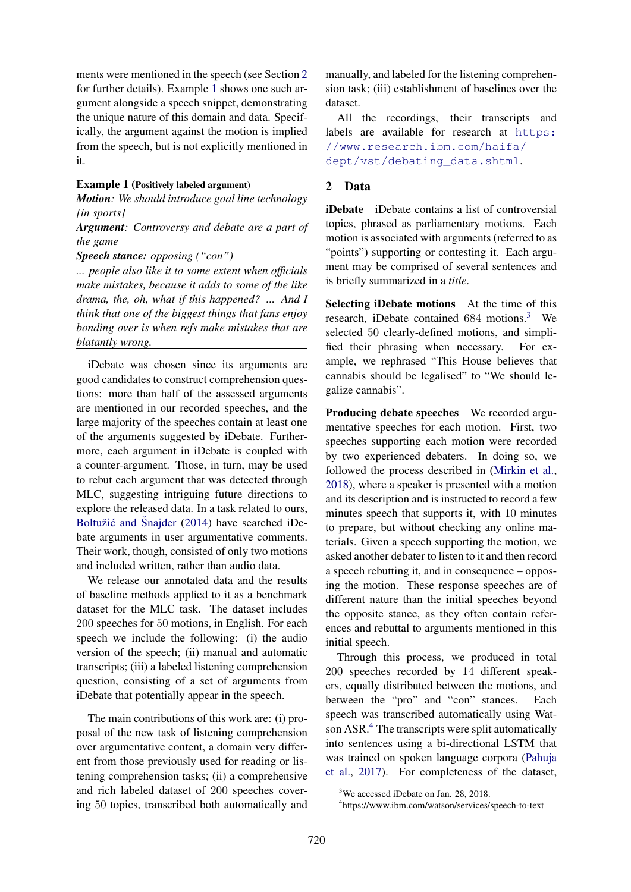ments were mentioned in the speech (see Section [2](#page-1-0) for further details). Example [1](#page-1-1) shows one such argument alongside a speech snippet, demonstrating the unique nature of this domain and data. Specifically, the argument against the motion is implied from the speech, but is not explicitly mentioned in it.

## <span id="page-1-1"></span>Example 1 (Positively labeled argument)

*Motion: We should introduce goal line technology [in sports]*

*Argument: Controversy and debate are a part of the game*

*Speech stance: opposing ("con")*

*... people also like it to some extent when officials make mistakes, because it adds to some of the like drama, the, oh, what if this happened? ... And I think that one of the biggest things that fans enjoy bonding over is when refs make mistakes that are blatantly wrong.*

iDebate was chosen since its arguments are good candidates to construct comprehension questions: more than half of the assessed arguments are mentioned in our recorded speeches, and the large majority of the speeches contain at least one of the arguments suggested by iDebate. Furthermore, each argument in iDebate is coupled with a counter-argument. Those, in turn, may be used to rebut each argument that was detected through MLC, suggesting intriguing future directions to explore the released data. In a task related to ours, Boltužić and Šnajder  $(2014)$  have searched iDebate arguments in user argumentative comments. Their work, though, consisted of only two motions and included written, rather than audio data.

We release our annotated data and the results of baseline methods applied to it as a benchmark dataset for the MLC task. The dataset includes 200 speeches for 50 motions, in English. For each speech we include the following: (i) the audio version of the speech; (ii) manual and automatic transcripts; (iii) a labeled listening comprehension question, consisting of a set of arguments from iDebate that potentially appear in the speech.

The main contributions of this work are: (i) proposal of the new task of listening comprehension over argumentative content, a domain very different from those previously used for reading or listening comprehension tasks; (ii) a comprehensive and rich labeled dataset of 200 speeches covering 50 topics, transcribed both automatically and

manually, and labeled for the listening comprehension task; (iii) establishment of baselines over the dataset.

All the recordings, their transcripts and labels are available for research at [https:](https://www.research.ibm.com/haifa/dept/vst/debating_data.shtml) [//www.research.ibm.com/haifa/](https://www.research.ibm.com/haifa/dept/vst/debating_data.shtml) [dept/vst/debating\\_data.shtml](https://www.research.ibm.com/haifa/dept/vst/debating_data.shtml).

### <span id="page-1-0"></span>2 Data

iDebate iDebate contains a list of controversial topics, phrased as parliamentary motions. Each motion is associated with arguments (referred to as "points") supporting or contesting it. Each argument may be comprised of several sentences and is briefly summarized in a *title*.

Selecting iDebate motions At the time of this research, iDebate contained  $684$  motions.<sup>[3](#page-1-2)</sup> We selected 50 clearly-defined motions, and simplified their phrasing when necessary. For example, we rephrased "This House believes that cannabis should be legalised" to "We should legalize cannabis".

Producing debate speeches We recorded argumentative speeches for each motion. First, two speeches supporting each motion were recorded by two experienced debaters. In doing so, we followed the process described in [\(Mirkin et al.,](#page-5-10) [2018\)](#page-5-10), where a speaker is presented with a motion and its description and is instructed to record a few minutes speech that supports it, with 10 minutes to prepare, but without checking any online materials. Given a speech supporting the motion, we asked another debater to listen to it and then record a speech rebutting it, and in consequence – opposing the motion. These response speeches are of different nature than the initial speeches beyond the opposite stance, as they often contain references and rebuttal to arguments mentioned in this initial speech.

Through this process, we produced in total 200 speeches recorded by 14 different speakers, equally distributed between the motions, and between the "pro" and "con" stances. Each speech was transcribed automatically using Wat-son ASR.<sup>[4](#page-1-3)</sup> The transcripts were split automatically into sentences using a bi-directional LSTM that was trained on spoken language corpora [\(Pahuja](#page-5-11) [et al.,](#page-5-11) [2017\)](#page-5-11). For completeness of the dataset,

<span id="page-1-2"></span><sup>&</sup>lt;sup>3</sup>We accessed iDebate on Jan. 28, 2018.

<span id="page-1-3"></span><sup>4</sup> https://www.ibm.com/watson/services/speech-to-text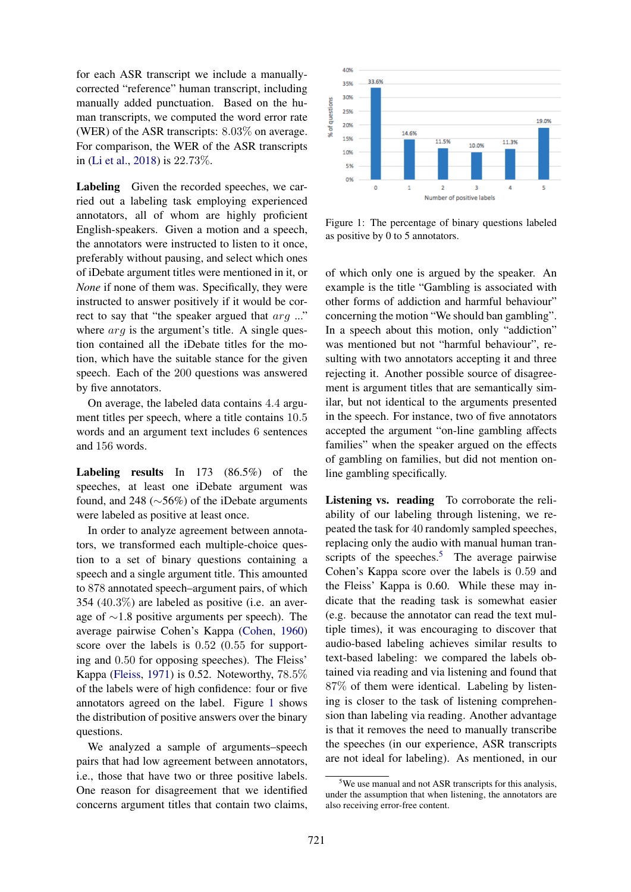for each ASR transcript we include a manuallycorrected "reference" human transcript, including manually added punctuation. Based on the human transcripts, we computed the word error rate (WER) of the ASR transcripts: 8.03% on average. For comparison, the WER of the ASR transcripts in [\(Li et al.,](#page-5-3) [2018\)](#page-5-3) is 22.73%.

Labeling Given the recorded speeches, we carried out a labeling task employing experienced annotators, all of whom are highly proficient English-speakers. Given a motion and a speech, the annotators were instructed to listen to it once, preferably without pausing, and select which ones of iDebate argument titles were mentioned in it, or *None* if none of them was. Specifically, they were instructed to answer positively if it would be correct to say that "the speaker argued that arg ..." where  $arg$  is the argument's title. A single question contained all the iDebate titles for the motion, which have the suitable stance for the given speech. Each of the 200 questions was answered by five annotators.

On average, the labeled data contains 4.4 argument titles per speech, where a title contains 10.5 words and an argument text includes 6 sentences and 156 words.

Labeling results In 173 (86.5%) of the speeches, at least one iDebate argument was found, and 248 (∼56%) of the iDebate arguments were labeled as positive at least once.

In order to analyze agreement between annotators, we transformed each multiple-choice question to a set of binary questions containing a speech and a single argument title. This amounted to 878 annotated speech–argument pairs, of which 354 (40.3%) are labeled as positive (i.e. an average of ∼1.8 positive arguments per speech). The average pairwise Cohen's Kappa [\(Cohen,](#page-5-12) [1960\)](#page-5-12) score over the labels is 0.52 (0.55 for supporting and 0.50 for opposing speeches). The Fleiss' Kappa [\(Fleiss,](#page-5-13) [1971\)](#page-5-13) is 0.52. Noteworthy, 78.5% of the labels were of high confidence: four or five annotators agreed on the label. Figure [1](#page-2-0) shows the distribution of positive answers over the binary questions.

We analyzed a sample of arguments–speech pairs that had low agreement between annotators, i.e., those that have two or three positive labels. One reason for disagreement that we identified concerns argument titles that contain two claims,



<span id="page-2-0"></span>Figure 1: The percentage of binary questions labeled as positive by 0 to 5 annotators.

of which only one is argued by the speaker. An example is the title "Gambling is associated with other forms of addiction and harmful behaviour" concerning the motion "We should ban gambling". In a speech about this motion, only "addiction" was mentioned but not "harmful behaviour", resulting with two annotators accepting it and three rejecting it. Another possible source of disagreement is argument titles that are semantically similar, but not identical to the arguments presented in the speech. For instance, two of five annotators accepted the argument "on-line gambling affects families" when the speaker argued on the effects of gambling on families, but did not mention online gambling specifically.

Listening vs. reading To corroborate the reliability of our labeling through listening, we repeated the task for 40 randomly sampled speeches, replacing only the audio with manual human tran-scripts of the speeches.<sup>[5](#page-2-1)</sup> The average pairwise Cohen's Kappa score over the labels is 0.59 and the Fleiss' Kappa is 0.60. While these may indicate that the reading task is somewhat easier (e.g. because the annotator can read the text multiple times), it was encouraging to discover that audio-based labeling achieves similar results to text-based labeling: we compared the labels obtained via reading and via listening and found that 87% of them were identical. Labeling by listening is closer to the task of listening comprehension than labeling via reading. Another advantage is that it removes the need to manually transcribe the speeches (in our experience, ASR transcripts are not ideal for labeling). As mentioned, in our

<span id="page-2-1"></span> $5$ We use manual and not ASR transcripts for this analysis, under the assumption that when listening, the annotators are also receiving error-free content.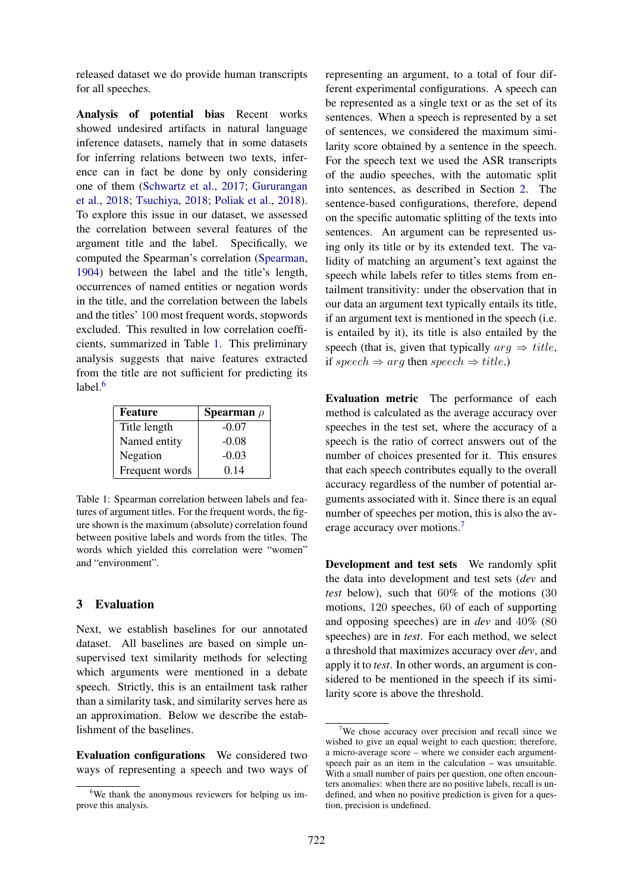released dataset we do provide human transcripts for all speeches.

Analysis of potential bias Recent works showed undesired artifacts in natural language inference datasets, namely that in some datasets for inferring relations between two texts, inference can in fact be done by only considering one of them [\(Schwartz et al.,](#page-5-14) [2017;](#page-5-14) [Gururangan](#page-5-15) [et al.,](#page-5-15) [2018;](#page-5-15) [Tsuchiya,](#page-5-16) [2018;](#page-5-16) [Poliak et al.,](#page-5-17) [2018\)](#page-5-17). To explore this issue in our dataset, we assessed the correlation between several features of the argument title and the label. Specifically, we computed the Spearman's correlation [\(Spearman,](#page-5-18) [1904\)](#page-5-18) between the label and the title's length, occurrences of named entities or negation words in the title, and the correlation between the labels and the titles' 100 most frequent words, stopwords excluded. This resulted in low correlation coefficients, summarized in Table [1.](#page-3-0) This preliminary analysis suggests that naive features extracted from the title are not sufficient for predicting its label. $6$ 

| Feature        | <b>Spearman</b> $\rho$ |
|----------------|------------------------|
| Title length   | $-0.07$                |
| Named entity   | $-0.08$                |
| Negation       | $-0.03$                |
| Frequent words | 0.14                   |

<span id="page-3-0"></span>Table 1: Spearman correlation between labels and features of argument titles. For the frequent words, the figure shown is the maximum (absolute) correlation found between positive labels and words from the titles. The words which yielded this correlation were "women" and "environment".

### 3 Evaluation

Next, we establish baselines for our annotated dataset. All baselines are based on simple unsupervised text similarity methods for selecting which arguments were mentioned in a debate speech. Strictly, this is an entailment task rather than a similarity task, and similarity serves here as an approximation. Below we describe the establishment of the baselines.

Evaluation configurations We considered two ways of representing a speech and two ways of representing an argument, to a total of four different experimental configurations. A speech can be represented as a single text or as the set of its sentences. When a speech is represented by a set of sentences, we considered the maximum similarity score obtained by a sentence in the speech. For the speech text we used the ASR transcripts of the audio speeches, with the automatic split into sentences, as described in Section [2.](#page-1-0) The sentence-based configurations, therefore, depend on the specific automatic splitting of the texts into sentences. An argument can be represented using only its title or by its extended text. The validity of matching an argument's text against the speech while labels refer to titles stems from entailment transitivity: under the observation that in our data an argument text typically entails its title, if an argument text is mentioned in the speech (i.e. is entailed by it), its title is also entailed by the speech (that is, given that typically  $\arg \Rightarrow \text{title.}$ ) if speech  $\Rightarrow$  arg then speech  $\Rightarrow$  title.)

Evaluation metric The performance of each method is calculated as the average accuracy over speeches in the test set, where the accuracy of a speech is the ratio of correct answers out of the number of choices presented for it. This ensures that each speech contributes equally to the overall accuracy regardless of the number of potential arguments associated with it. Since there is an equal number of speeches per motion, this is also the average accuracy over motions.[7](#page-3-2)

Development and test sets We randomly split the data into development and test sets (*dev* and *test* below), such that 60% of the motions (30 motions, 120 speeches, 60 of each of supporting and opposing speeches) are in *dev* and 40% (80 speeches) are in *test*. For each method, we select a threshold that maximizes accuracy over *dev*, and apply it to *test*. In other words, an argument is considered to be mentioned in the speech if its similarity score is above the threshold.

<span id="page-3-1"></span><sup>&</sup>lt;sup>6</sup>We thank the anonymous reviewers for helping us improve this analysis.

<span id="page-3-2"></span><sup>&</sup>lt;sup>7</sup>We chose accuracy over precision and recall since we wished to give an equal weight to each question; therefore, a micro-average score – where we consider each argumentspeech pair as an item in the calculation – was unsuitable. With a small number of pairs per question, one often encounters anomalies: when there are no positive labels, recall is undefined, and when no positive prediction is given for a question, precision is undefined.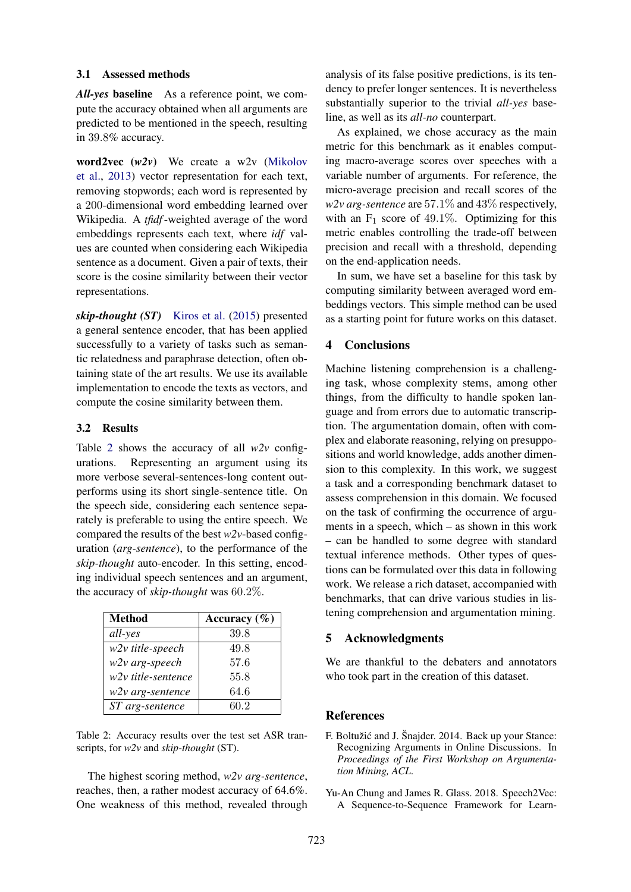#### 3.1 Assessed methods

*All-yes* baseline As a reference point, we compute the accuracy obtained when all arguments are predicted to be mentioned in the speech, resulting in 39.8% accuracy.

word2vec (*w2v*) We create a w2v [\(Mikolov](#page-5-19) [et al.,](#page-5-19) [2013\)](#page-5-19) vector representation for each text, removing stopwords; each word is represented by a 200-dimensional word embedding learned over Wikipedia. A *tfidf*-weighted average of the word embeddings represents each text, where *idf* values are counted when considering each Wikipedia sentence as a document. Given a pair of texts, their score is the cosine similarity between their vector representations.

*skip-thought (ST)* [Kiros et al.](#page-5-20) [\(2015\)](#page-5-20) presented a general sentence encoder, that has been applied successfully to a variety of tasks such as semantic relatedness and paraphrase detection, often obtaining state of the art results. We use its available implementation to encode the texts as vectors, and compute the cosine similarity between them.

### 3.2 Results

Table [2](#page-4-2) shows the accuracy of all  $w2v$  configurations. Representing an argument using its more verbose several-sentences-long content outperforms using its short single-sentence title. On the speech side, considering each sentence separately is preferable to using the entire speech. We compared the results of the best *w2v*-based configuration (*arg-sentence*), to the performance of the *skip-thought* auto-encoder. In this setting, encoding individual speech sentences and an argument, the accuracy of *skip-thought* was 60.2%.

| <b>Method</b>      | Accuracy $(\% )$ |
|--------------------|------------------|
| all-yes            | 39.8             |
| w2v title-speech   | 49.8             |
| w2v arg-speech     | 57.6             |
| w2v title-sentence | 55.8             |
| w2v arg-sentence   | 64.6             |
| ST arg-sentence    | 60.2             |

<span id="page-4-2"></span>Table 2: Accuracy results over the test set ASR transcripts, for *w2v* and *skip-thought* (ST).

The highest scoring method, *w2v arg-sentence*, reaches, then, a rather modest accuracy of 64.6%. One weakness of this method, revealed through

analysis of its false positive predictions, is its tendency to prefer longer sentences. It is nevertheless substantially superior to the trivial *all-yes* baseline, as well as its *all-no* counterpart.

As explained, we chose accuracy as the main metric for this benchmark as it enables computing macro-average scores over speeches with a variable number of arguments. For reference, the micro-average precision and recall scores of the *w2v arg-sentence* are 57.1% and 43% respectively, with an  $F_1$  score of 49.1%. Optimizing for this metric enables controlling the trade-off between precision and recall with a threshold, depending on the end-application needs.

In sum, we have set a baseline for this task by computing similarity between averaged word embeddings vectors. This simple method can be used as a starting point for future works on this dataset.

## 4 Conclusions

Machine listening comprehension is a challenging task, whose complexity stems, among other things, from the difficulty to handle spoken language and from errors due to automatic transcription. The argumentation domain, often with complex and elaborate reasoning, relying on presuppositions and world knowledge, adds another dimension to this complexity. In this work, we suggest a task and a corresponding benchmark dataset to assess comprehension in this domain. We focused on the task of confirming the occurrence of arguments in a speech, which – as shown in this work – can be handled to some degree with standard textual inference methods. Other types of questions can be formulated over this data in following work. We release a rich dataset, accompanied with benchmarks, that can drive various studies in listening comprehension and argumentation mining.

### 5 Acknowledgments

We are thankful to the debaters and annotators who took part in the creation of this dataset.

### References

- <span id="page-4-1"></span>F. Boltužić and J. Šnajder. 2014. Back up your Stance: Recognizing Arguments in Online Discussions. In *Proceedings of the First Workshop on Argumentation Mining, ACL*.
- <span id="page-4-0"></span>Yu-An Chung and James R. Glass. 2018. Speech2Vec: A Sequence-to-Sequence Framework for Learn-